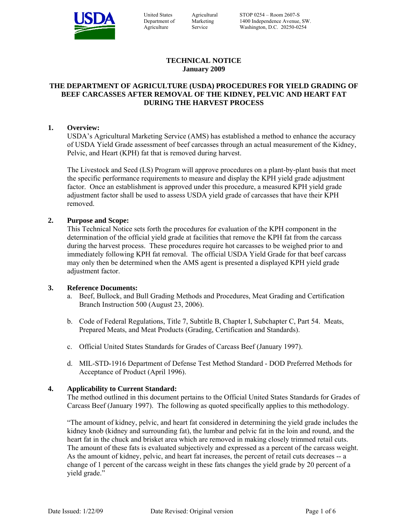

| <b>United States</b> |
|----------------------|
| Department of        |
| Agriculture          |

Agricultural Marketing Service

# **TECHNICAL NOTICE January 2009**

# **THE DEPARTMENT OF AGRICULTURE (USDA) PROCEDURES FOR YIELD GRADING OF BEEF CARCASSES AFTER REMOVAL OF THE KIDNEY, PELVIC AND HEART FAT DURING THE HARVEST PROCESS**

# **1. Overview:**

USDA's Agricultural Marketing Service (AMS) has established a method to enhance the accuracy of USDA Yield Grade assessment of beef carcasses through an actual measurement of the Kidney, Pelvic, and Heart (KPH) fat that is removed during harvest.

The Livestock and Seed (LS) Program will approve procedures on a plant-by-plant basis that meet the specific performance requirements to measure and display the KPH yield grade adjustment factor. Once an establishment is approved under this procedure, a measured KPH yield grade adjustment factor shall be used to assess USDA yield grade of carcasses that have their KPH removed.

# **2. Purpose and Scope:**

This Technical Notice sets forth the procedures for evaluation of the KPH component in the determination of the official yield grade at facilities that remove the KPH fat from the carcass during the harvest process. These procedures require hot carcasses to be weighed prior to and immediately following KPH fat removal. The official USDA Yield Grade for that beef carcass may only then be determined when the AMS agent is presented a displayed KPH yield grade adjustment factor.

### **3. Reference Documents:**

- a. Beef, Bullock, and Bull Grading Methods and Procedures, Meat Grading and Certification Branch Instruction 500 (August 23, 2006).
- b. Code of Federal Regulations, Title 7, Subtitle B, Chapter I, Subchapter C, Part 54. Meats, Prepared Meats, and Meat Products (Grading, Certification and Standards).
- c. Official United States Standards for Grades of Carcass Beef (January 1997).
- d. MIL-STD-1916 Department of Defense Test Method Standard DOD Preferred Methods for Acceptance of Product (April 1996).

# **4. Applicability to Current Standard:**

The method outlined in this document pertains to the Official United States Standards for Grades of Carcass Beef (January 1997). The following as quoted specifically applies to this methodology.

"The amount of kidney, pelvic, and heart fat considered in determining the yield grade includes the kidney knob (kidney and surrounding fat), the lumbar and pelvic fat in the loin and round, and the heart fat in the chuck and brisket area which are removed in making closely trimmed retail cuts. The amount of these fats is evaluated subjectively and expressed as a percent of the carcass weight. As the amount of kidney, pelvic, and heart fat increases, the percent of retail cuts decreases -- a change of 1 percent of the carcass weight in these fats changes the yield grade by 20 percent of a yield grade."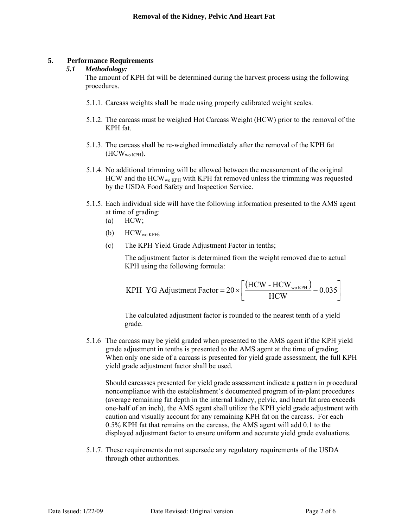# **5. Performance Requirements**

# *5.1 Methodology:*

The amount of KPH fat will be determined during the harvest process using the following procedures.

- 5.1.1. Carcass weights shall be made using properly calibrated weight scales.
- 5.1.2. The carcass must be weighed Hot Carcass Weight (HCW) prior to the removal of the KPH fat.
- 5.1.3. The carcass shall be re-weighed immediately after the removal of the KPH fat  $(HCW_{wo KPH})$ .
- 5.1.4. No additional trimming will be allowed between the measurement of the original  $HCW$  and the  $HCW_{wo\ KPH}$  with KPH fat removed unless the trimming was requested by the USDA Food Safety and Inspection Service.
- 5.1.5. Each individual side will have the following information presented to the AMS agent at time of grading:
	- $(a)$  HCW;
	- (b)  $HCW_{wo KPH}$ ;
	- (c) The KPH Yield Grade Adjustment Factor in tenths;

The adjustment factor is determined from the weight removed due to actual KPH using the following formula:

$$
KPH YG \text{ Adjustument Factor} = 20 \times \left[ \frac{\left( \text{HCW} - \text{HCW}_{\text{wo KPH}} \right)}{\text{HCW}} - 0.035 \right]
$$

The calculated adjustment factor is rounded to the nearest tenth of a yield grade.

5.1.6 The carcass may be yield graded when presented to the AMS agent if the KPH yield grade adjustment in tenths is presented to the AMS agent at the time of grading. When only one side of a carcass is presented for yield grade assessment, the full KPH yield grade adjustment factor shall be used.

Should carcasses presented for yield grade assessment indicate a pattern in procedural noncompliance with the establishment's documented program of in-plant procedures (average remaining fat depth in the internal kidney, pelvic, and heart fat area exceeds one-half of an inch), the AMS agent shall utilize the KPH yield grade adjustment with caution and visually account for any remaining KPH fat on the carcass. For each 0.5% KPH fat that remains on the carcass, the AMS agent will add 0.1 to the displayed adjustment factor to ensure uniform and accurate yield grade evaluations.

5.1.7. These requirements do not supersede any regulatory requirements of the USDA through other authorities.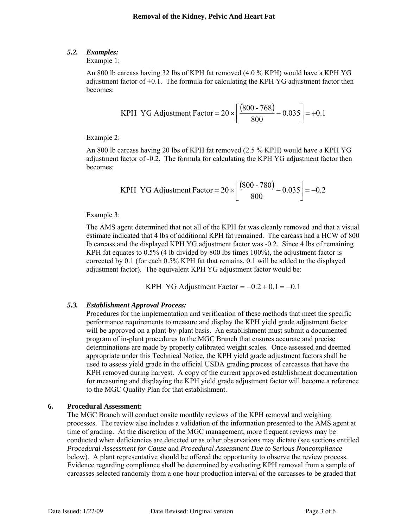# *5.2. Examples:*

Example 1:

An 800 lb carcass having 32 lbs of KPH fat removed (4.0 % KPH) would have a KPH YG adjustment factor of  $+0.1$ . The formula for calculating the KPH YG adjustment factor then becomes:

KPH YG Adjustment Factor = 
$$
20 \times \left[ \frac{(800 - 768)}{800} - 0.035 \right] = +0.1
$$

Example 2:

An 800 lb carcass having 20 lbs of KPH fat removed (2.5 % KPH) would have a KPH YG adjustment factor of -0.2. The formula for calculating the KPH YG adjustment factor then becomes:

KPH YG Adjustment Factor = 
$$
20 \times \left[ \frac{(800 - 780)}{800} - 0.035 \right] = -0.2
$$

Example 3:

The AMS agent determined that not all of the KPH fat was cleanly removed and that a visual estimate indicated that 4 lbs of additional KPH fat remained. The carcass had a HCW of 800 lb carcass and the displayed KPH YG adjustment factor was -0.2. Since 4 lbs of remaining KPH fat equates to 0.5% (4 lb divided by 800 lbs times 100%), the adjustment factor is corrected by 0.1 (for each 0.5% KPH fat that remains, 0.1 will be added to the displayed adjustment factor). The equivalent KPH YG adjustment factor would be:

KPH YG Adjustment Factor  $= -0.2 + 0.1 = -0.1$ 

# *5.3. Establishment Approval Process:*

Procedures for the implementation and verification of these methods that meet the specific performance requirements to measure and display the KPH yield grade adjustment factor will be approved on a plant-by-plant basis. An establishment must submit a documented program of in-plant procedures to the MGC Branch that ensures accurate and precise determinations are made by properly calibrated weight scales. Once assessed and deemed appropriate under this Technical Notice, the KPH yield grade adjustment factors shall be used to assess yield grade in the official USDA grading process of carcasses that have the KPH removed during harvest. A copy of the current approved establishment documentation for measuring and displaying the KPH yield grade adjustment factor will become a reference to the MGC Quality Plan for that establishment.

# **6. Procedural Assessment:**

The MGC Branch will conduct onsite monthly reviews of the KPH removal and weighing processes. The review also includes a validation of the information presented to the AMS agent at time of grading. At the discretion of the MGC management, more frequent reviews may be conducted when deficiencies are detected or as other observations may dictate (see sections entitled *Procedural Assessment for Cause* and *Procedural Assessment Due to Serious Noncompliance* below). A plant representative should be offered the opportunity to observe the review process. Evidence regarding compliance shall be determined by evaluating KPH removal from a sample of carcasses selected randomly from a one-hour production interval of the carcasses to be graded that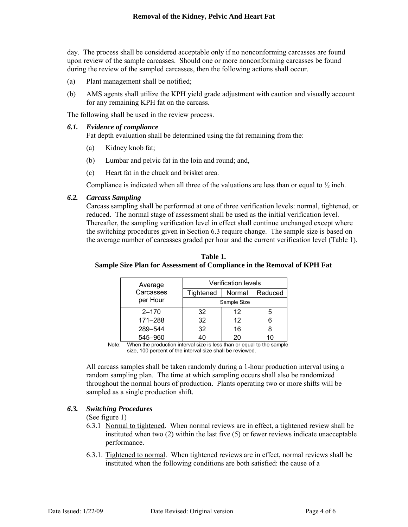day. The process shall be considered acceptable only if no nonconforming carcasses are found upon review of the sample carcasses. Should one or more nonconforming carcasses be found during the review of the sampled carcasses, then the following actions shall occur.

- (a) Plant management shall be notified;
- (b) AMS agents shall utilize the KPH yield grade adjustment with caution and visually account for any remaining KPH fat on the carcass.

The following shall be used in the review process.

#### *6.1. Evidence of compliance*  Fat depth evaluation shall be determined using the fat remaining from the:

- (a) Kidney knob fat;
- (b) Lumbar and pelvic fat in the loin and round; and,
- (c) Heart fat in the chuck and brisket area.

Compliance is indicated when all three of the valuations are less than or equal to  $\frac{1}{2}$  inch.

### *6.2. Carcass Sampling*

Carcass sampling shall be performed at one of three verification levels: normal, tightened, or reduced. The normal stage of assessment shall be used as the initial verification level. Thereafter, the sampling verification level in effect shall continue unchanged except where the switching procedures given in Section 6.3 require change. The sample size is based on the average number of carcasses graded per hour and the current verification level (Table 1).

| Average   | Verification levels |        |         |
|-----------|---------------------|--------|---------|
| Carcasses | Tightened           | Normal | Reduced |
| per Hour  | Sample Size         |        |         |
| $2 - 170$ | 32                  | 12     | 5       |
| 171-288   | 32                  | 12     | 6       |
| 289-544   | 32                  | 16     | 8       |
| 545-960   |                     | 20     |         |

**Table 1. Sample Size Plan for Assessment of Compliance in the Removal of KPH Fat** 

Note: When the production interval size is less than or equal to the sample size, 100 percent of the interval size shall be reviewed.

All carcass samples shall be taken randomly during a 1-hour production interval using a random sampling plan. The time at which sampling occurs shall also be randomized throughout the normal hours of production. Plants operating two or more shifts will be sampled as a single production shift.

### *6.3. Switching Procedures*

# (See figure 1)

- 6.3.1 Normal to tightened. When normal reviews are in effect, a tightened review shall be instituted when two (2) within the last five (5) or fewer reviews indicate unacceptable performance.
- 6.3.1. Tightened to normal. When tightened reviews are in effect, normal reviews shall be instituted when the following conditions are both satisfied: the cause of a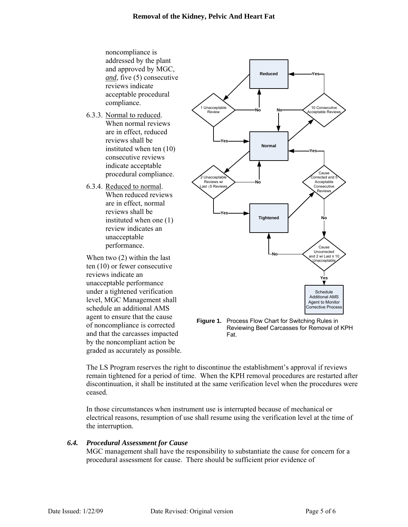noncompliance is addressed by the plant and approved by MGC, *and*, five (5) consecutive reviews indicate acceptable procedural compliance.

- 6.3.3. Normal to reduced. When normal reviews are in effect, reduced reviews shall be instituted when ten (10) consecutive reviews indicate acceptable procedural compliance.
- 6.3.4. Reduced to normal. When reduced reviews are in effect, normal reviews shall be instituted when one (1) review indicates an unacceptable performance.

When two (2) within the last ten (10) or fewer consecutive reviews indicate an unacceptable performance under a tightened verification level, MGC Management shall schedule an additional AMS agent to ensure that the cause of noncompliance is corrected and that the carcasses impacted by the noncompliant action be graded as accurately as possible.



**Figure 1.** Process Flow Chart for Switching Rules in Reviewing Beef Carcasses for Removal of KPH Fat.

The LS Program reserves the right to discontinue the establishment's approval if reviews remain tightened for a period of time. When the KPH removal procedures are restarted after discontinuation, it shall be instituted at the same verification level when the procedures were ceased.

In those circumstances when instrument use is interrupted because of mechanical or electrical reasons, resumption of use shall resume using the verification level at the time of the interruption.

### *6.4. Procedural Assessment for Cause*

MGC management shall have the responsibility to substantiate the cause for concern for a procedural assessment for cause. There should be sufficient prior evidence of